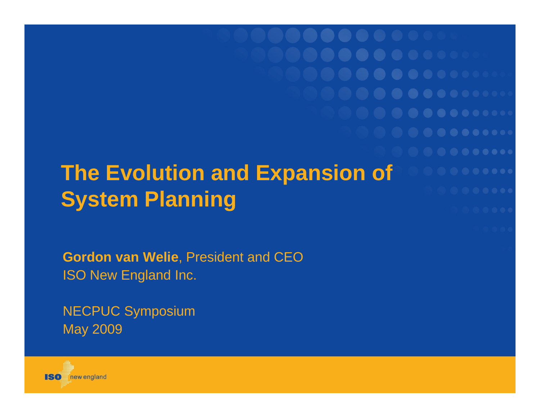**The Evolution and Expansion of System Planning** 

**Gordon van Welie**, President and CEO ISO New England Inc.

NECPUC Symposium May 2009

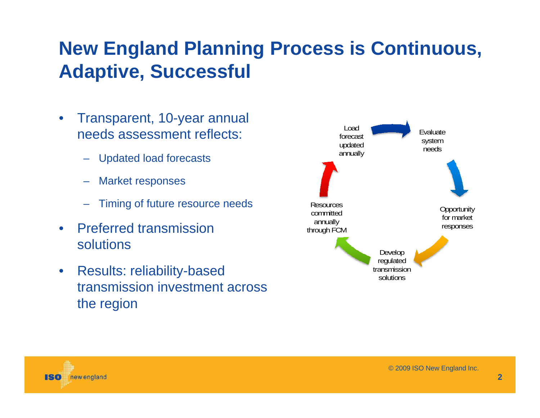#### **New England Planning Process is Continuous, Adaptive, Successful**

- $\bullet$  Transparent, 10-year annual needs assessment reflects:
	- Updated load forecasts
	- Market responses
	- Timing of future resource needs
- $\bullet$  Preferred transmission solutions
- $\bullet$  Results: reliability-based transmission investment across the region



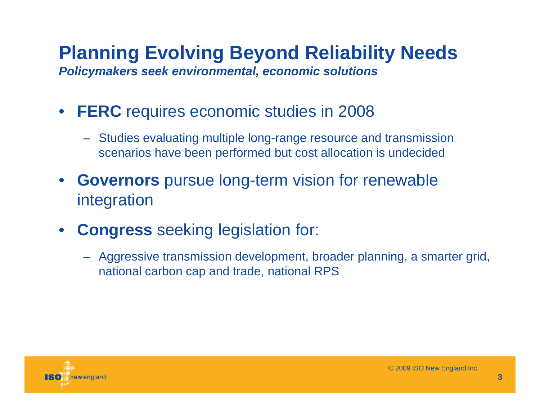#### **Planning Evolving Beyond Reliability Needs** *Policymakers seek environmental, economic solutions*

- **FERC** requires economic studies in 2008
	- Studies evaluating multiple long-range resource and transmission scenarios have been performed but cost allocation is undecided
- **Governors** pursue long-term vision for renewable integration
- $\bullet$  **Congress** seeking legislation for:
	- Aggressive transmission development, broader planning, a smarter grid, national carbon cap and trade, national RPS

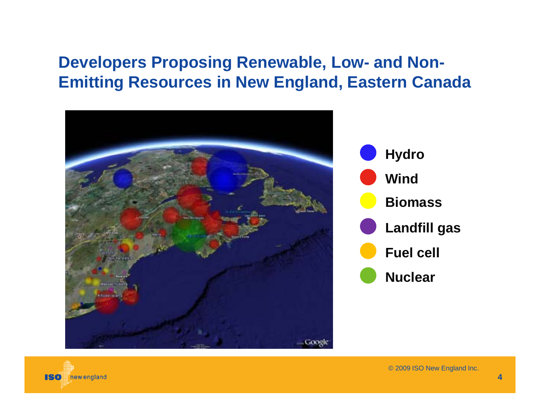#### **Developers Proposing Renewable, Low- and Non-Emitting Resources in New England, Eastern Canada**





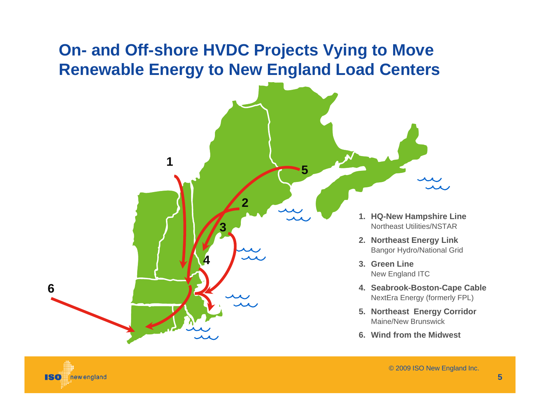#### **On- and Off-shore HVDC Projects Vying to Move Renewable Energy to New England Load Centers**

**2**

**4**

**3**

**1**

**6**

180

new england

- **1. HQ-New Hampshire Line** Northeast Utilities/NSTAR
- **2. Northeast Energy Link** Bangor Hydro/National Grid
- **3. Green Line**New England ITC
- **4. Seabrook-Boston-Cape Cable** NextEra Energy (formerly FPL)
- **5. Northeast Energy Corridor** Maine/New Brunswick
- **6. Wind from the Midwest**

**5**

**5**

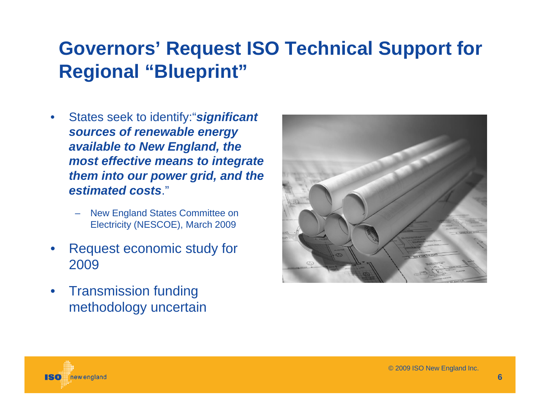#### **Governors' Request ISO Technical Support for Regional "Blueprint"**

- • States seek to identify:"*significant sources of renewable energy available to New England, the most effective means to integrate them into our power grid, and the estimated costs*."
	- New England States Committee on Electricity (NESCOE), March 2009
- • Request economic study for 2009
- • Transmission funding methodology uncertain



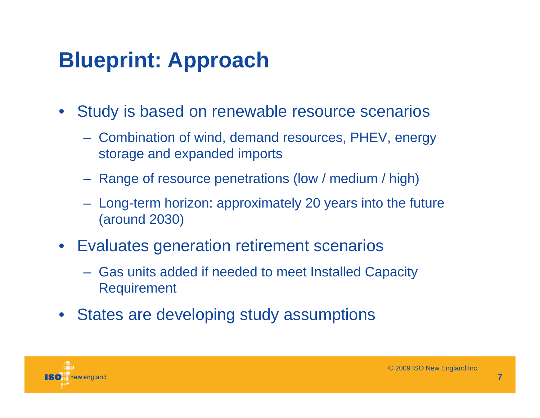# **Blueprint: Approach**

- $\bullet$  Study is based on renewable resource scenarios
	- Combination of wind, demand resources, PHEV, energy storage and expanded imports
	- Range of resource penetrations (low / medium / high)
	- Long-term horizon: approximately 20 years into the future (around 2030)
- Evaluates generation retirement scenarios
	- Gas units added if needed to meet Installed Capacity Requirement
- $\bullet$ States are developing study assumptions

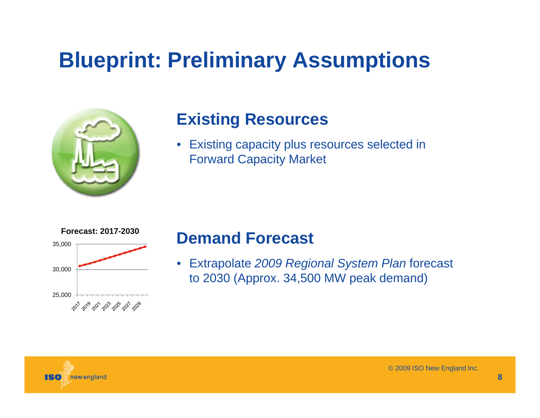

#### **Existing Resources**

• Existing capacity plus resources selected in Forward Capacity Market



#### **Demand Forecast**

• Extrapolate *2009 Regional System Plan* forecast to 2030 (Approx. 34,500 MW peak demand)

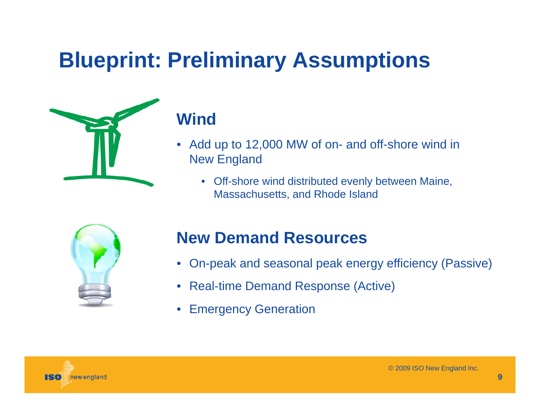

#### **Wind**

- • Add up to 12,000 MW of on- and off-shore wind in New England
	- • Off-shore wind distributed evenly between Maine, Massachusetts, and Rhode Island



#### **New Demand Resources**

- On-peak and seasonal peak energy efficiency (Passive)
- •Real-time Demand Response (Active)
- $\bullet$ Emergency Generation

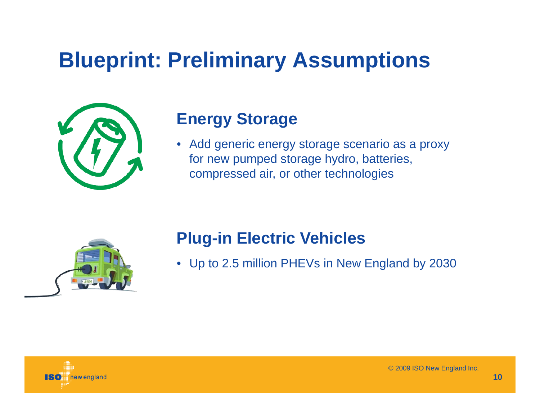

#### **Energy Storage**

 $\bullet$  Add generic energy storage scenario as a proxy for new pumped storage hydro, batteries, compressed air, or other technologies



#### **Plug-in Electric Vehicles**

• Up to 2.5 million PHEVs in New England by 2030

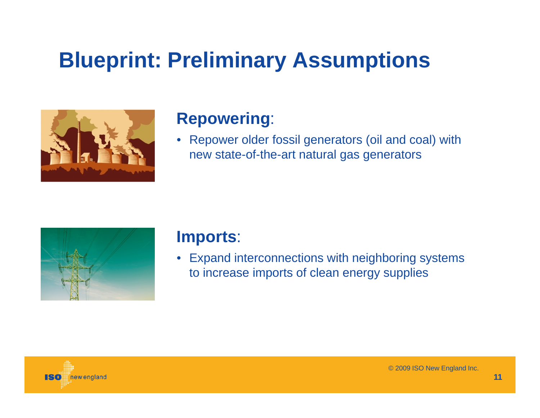

#### **Repowering**:

 $\bullet$  Repower older fossil generators (oil and coal) with new state-of-the-art natural gas generators



#### **Imports**:

• Expand interconnections with neighboring systems to increase imports of clean energy supplies

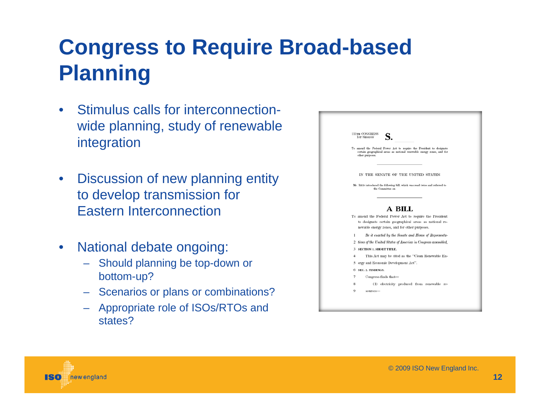## **Congress to Require Broad-based Planning**

- $\bullet$  Stimulus calls for interconnectionwide planning, study of renewable integration
- $\bullet$  Discussion of new planning entity to develop transmission for Eastern Interconnection
- $\bullet$  National debate ongoing:
	- Should planning be top-down or bottom-up?
	- Scenarios or plans or combinations?
	- Appropriate role of ISOs/RTOs and states?

|   | <b>111TH CONGRESS</b><br><b>1st SESSION</b>                                                                                                                       |
|---|-------------------------------------------------------------------------------------------------------------------------------------------------------------------|
|   | To amend the Federal Power Act to require the President to designate<br>certain geographical areas as national renewable energy zones, and for<br>other purposes. |
|   | IN THE SENATE OF THE UNITED STATES                                                                                                                                |
|   | Mr. REID introduced the following bill; which was read twice and referred to<br>the Committee on                                                                  |
|   | A BILL<br>To amend the Federal Power Act to require the President<br>to designate certain geographical areas as national re-                                      |
|   | newable energy zones, and for other purposes.                                                                                                                     |
| 1 | Be it enacted by the Senate and House of Representa-                                                                                                              |
|   | 2 tives of the United States of America in Congress assembled,                                                                                                    |
| 3 | <b>SECTION 1. SHORT TITLE.</b>                                                                                                                                    |
| 4 | This Act may be cited as the "Clean Renewable En-                                                                                                                 |
|   | 5 ergy and Economic Development Act".                                                                                                                             |
|   | 6 SEC. 2. FINDINGS.                                                                                                                                               |
| 7 | Congress finds that-                                                                                                                                              |
| 8 | (1) electricity produced from renewable re-                                                                                                                       |
| o | sources-                                                                                                                                                          |

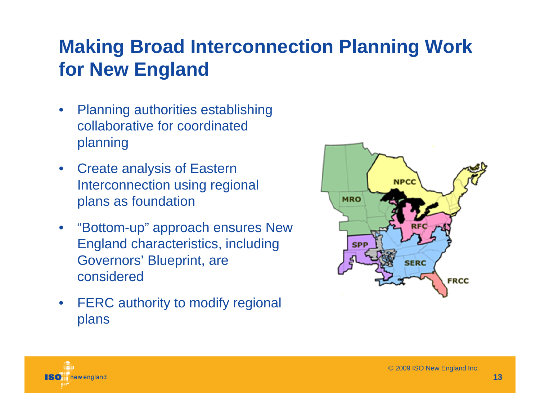#### **Making Broad Interconnection Planning Work for New England**

- $\bullet$  Planning authorities establishing collaborative for coordinated planning
- $\bullet$  Create analysis of Eastern Interconnection using regional plans as foundation
- "Bottom-up" approach ensures New England characteristics, including Governors' Blueprint, are considered
- $\bullet$  FERC authority to modify regional plans



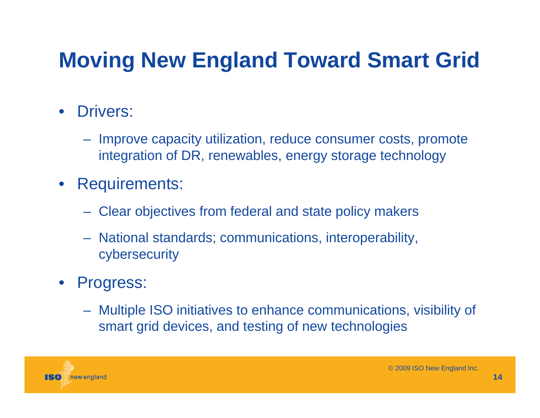# **Moving New England Toward Smart Grid**

#### $\bullet$ Drivers:

- Improve capacity utilization, reduce consumer costs, promote integration of DR, renewables, energy storage technology
- $\bullet$  Requirements:
	- Clear objectives from federal and state policy makers
	- National standards; communications, interoperability, cybersecurity

#### $\bullet$ Progress:

 Multiple ISO initiatives to enhance communications, visibility of smart grid devices, and testing of new technologies

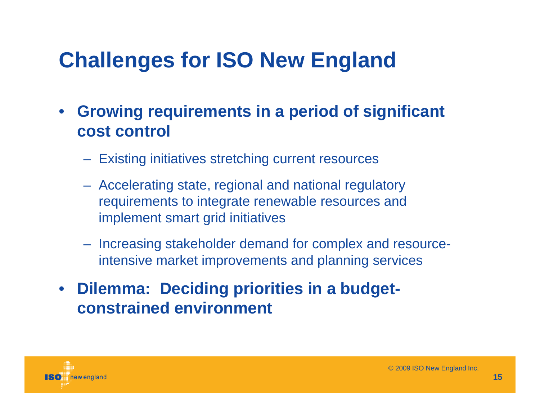# **Challenges for ISO New England**

- $\bullet$  **Growing requirements in a period of significant cost control** 
	- Existing initiatives stretching current resources
	- Accelerating state, regional and national regulatory requirements to integrate renewable resources and implement smart grid initiatives
	- Increasing stakeholder demand for complex and resourceintensive market improvements and planning services
- **Dilemma: Deciding priorities in a budgetconstrained environment**

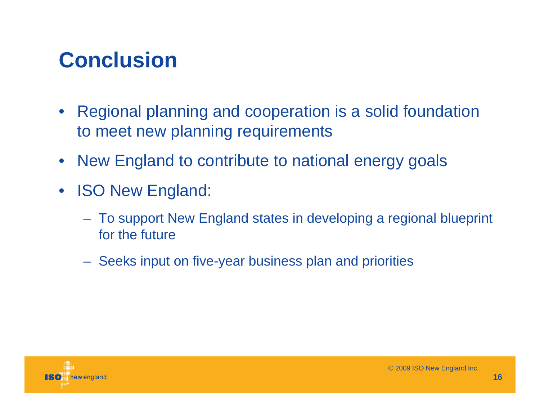## **Conclusion**

- $\bullet$  Regional planning and cooperation is a solid foundation to meet new planning requirements
- New England to contribute to national energy goals
- $\bullet$  ISO New England:
	- To support New England states in developing a regional blueprint for the future
	- Seeks input on five-year business plan and priorities

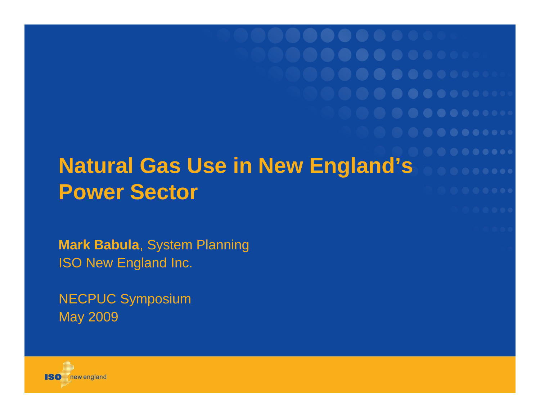**Natural Gas Use in New England's Power Sector**

**Mark Babula**, System Planning ISO New England Inc.

NECPUC Symposium May 2009

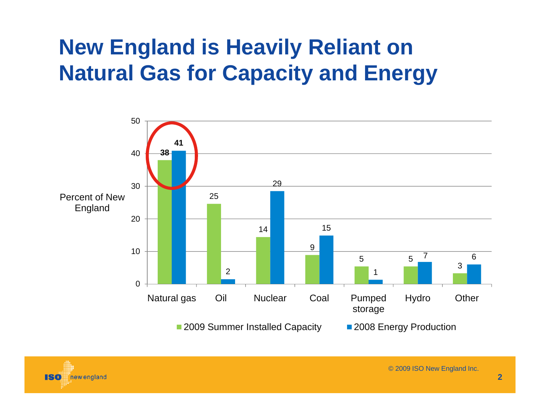## **New England is Heavily Reliant on Natural Gas for Capacity and Energy**



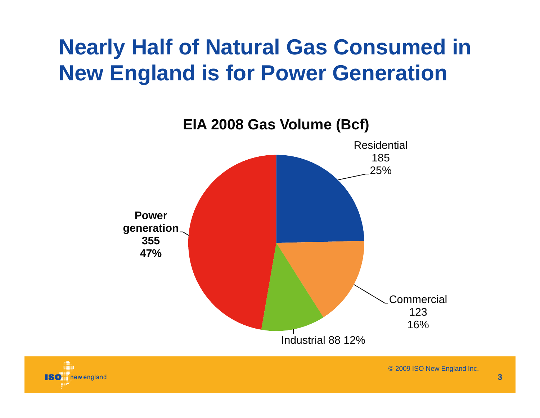## **Nearly Half of Natural Gas Consumed in New England is for Power Generation**



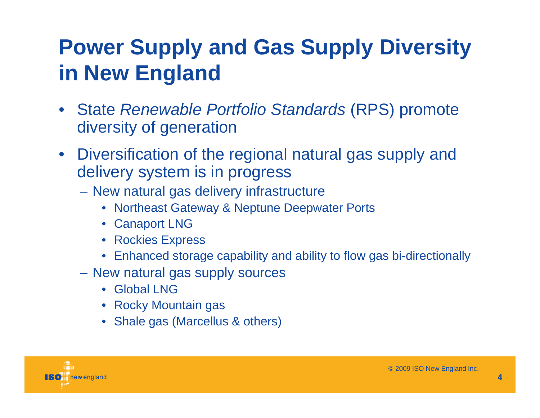## **Power Supply and Gas Supply Diversity in New England**

- State *Renewable Portfolio Standards* (RPS) promote diversity of generation
- Diversification of the regional natural gas supply and delivery system is in progress
	- New natural gas delivery infrastructure
		- Northeast Gateway & Neptune Deepwater Ports
		- Canaport LNG
		- Rockies Express
		- •Enhanced storage capability and ability to flow gas bi-directionally
	- New natural gas supply sources
		- Global LNG
		- Rocky Mountain gas
		- Shale gas (Marcellus & others)

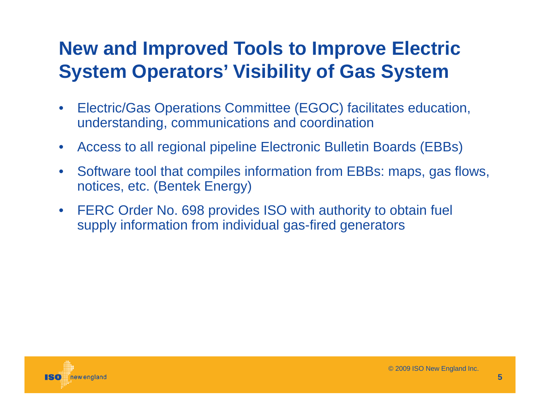#### **New and Improved Tools to Improve Electric System Operators' Visibility of Gas System**

- $\bullet$  Electric/Gas Operations Committee (EGOC) facilitates education, understanding, communications and coordination
- $\bullet$ Access to all regional pipeline Electronic Bulletin Boards (EBBs)
- $\bullet$  Software tool that compiles information from EBBs: maps, gas flows, notices, etc. (Bentek Energy)
- $\bullet$  FERC Order No. 698 provides ISO with authority to obtain fuel supply information from individual gas-fired generators

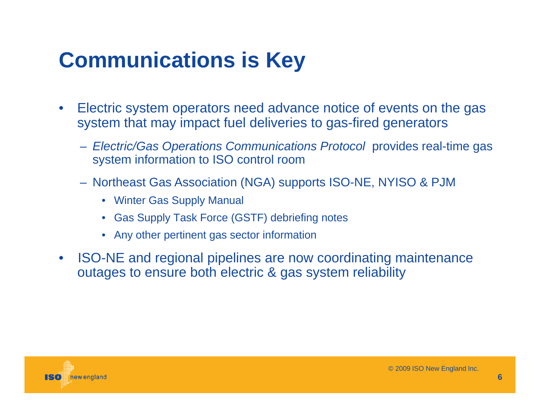# **Communications is Key**

- $\bullet$  Electric system operators need advance notice of events on the gas system that may impact fuel deliveries to gas-fired generators
	- *Electric/Gas Operations Communications Protocol* provides real-time gas system information to ISO control room
	- Northeast Gas Association (NGA) supports ISO-NE, NYISO & PJM
		- Winter Gas Supply Manual
		- Gas Supply Task Force (GSTF) debriefing notes
		- Any other pertinent gas sector information
- $\bullet$  ISO-NE and regional pipelines are now coordinating maintenance outages to ensure both electric & gas system reliability

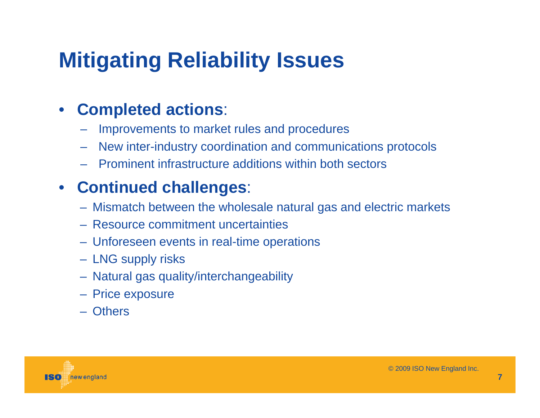# **Mitigating Reliability Issues**

#### $\bullet$ **Completed actions**:

- Improvements to market rules and procedures
- –New inter-industry coordination and communications protocols
- Prominent infrastructure additions within both sectors

#### • **Continued challenges**:

- Mismatch between the wholesale natural gas and electric markets
- Resource commitment uncertainties
- Unforeseen events in real-time operations
- LNG supply risks
- Natural gas quality/interchangeability
- Price exposure
- Others

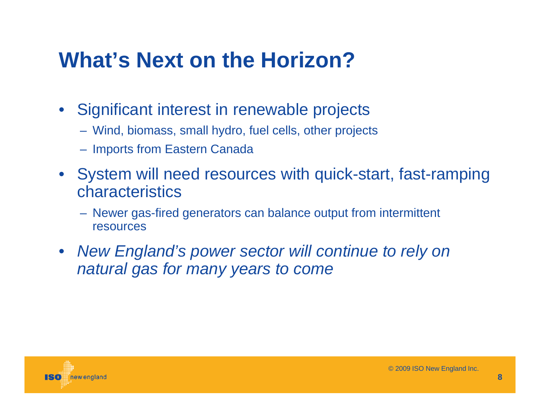## **What's Next on the Horizon?**

- $\bullet$  Significant interest in renewable projects
	- Wind, biomass, small hydro, fuel cells, other projects
	- Imports from Eastern Canada
- System will need resources with quick-start, fast-ramping characteristics
	- Newer gas-fired generators can balance output from intermittent resources
- *New England's power sector will continue to rely on natural gas for many years to come*

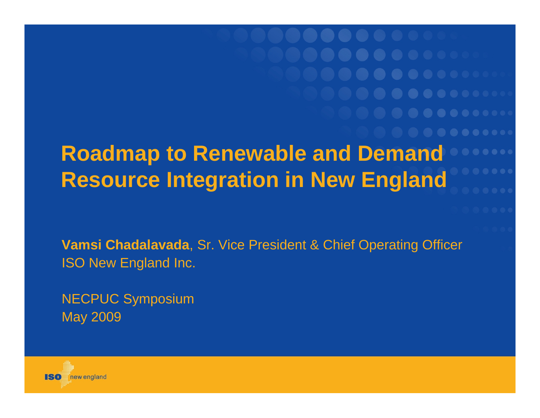**Roadmap to Renewable and Demand Resource Integration in New England** 

**Vamsi Chadalavada**, Sr. Vice President & Chief Operating Officer ISO New England Inc.

NECPUC Symposium May 2009

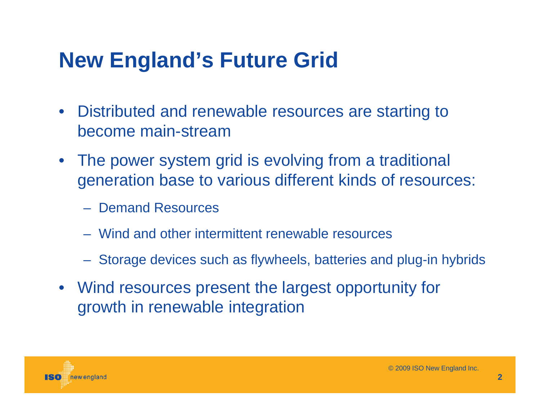## **New England's Future Grid**

- Distributed and renewable resources are starting to become main-stream
- The power system grid is evolving from a traditional generation base to various different kinds of resources:
	- Demand Resources
	- Wind and other intermittent renewable resources
	- Storage devices such as flywheels, batteries and plug-in hybrids
- Wind resources present the largest opportunity for growth in renewable integration

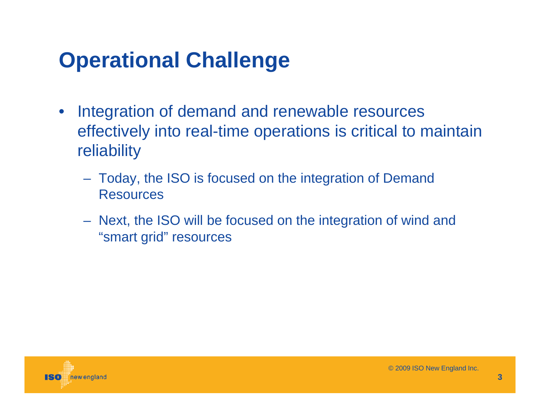# **Operational Challenge**

- $\bullet$  Integration of demand and renewable resources effectively into real-time operations is critical to maintain reliability
	- Today, the ISO is focused on the integration of Demand Resources
	- Next, the ISO will be focused on the integration of wind and "smart grid" resources

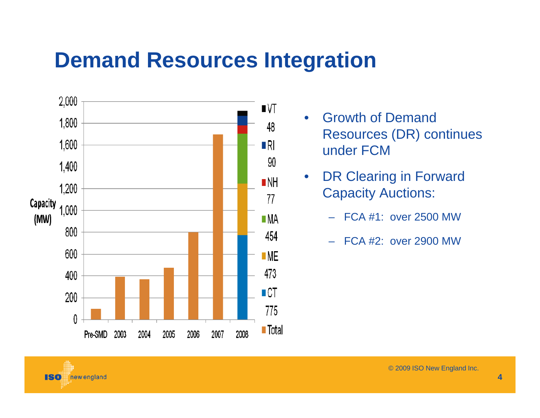## **Demand Resources Integration**



new england

ISO

- $\bullet$  Growth of Demand Resources (DR) continues under FCM
- $\bullet$  DR Clearing in Forward Capacity Auctions:
	- –FCA #1: over 2500 MW
	- –FCA #2: over 2900 MW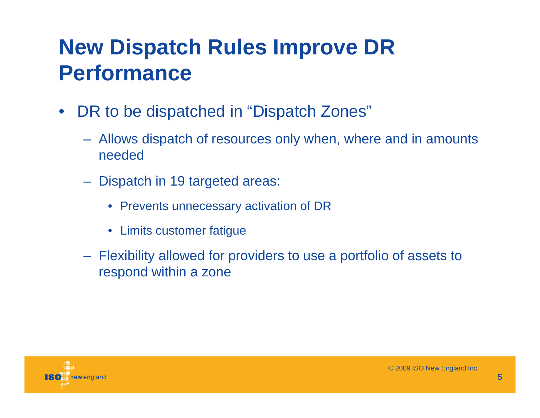### **New Dispatch Rules Improve DR Performance**

- $\bullet$ DR to be dispatched in "Dispatch Zones"
	- Allows dispatch of resources only when, where and in amounts needed
	- Dispatch in 19 targeted areas:
		- Prevents unnecessary activation of DR
		- Limits customer fatigue
	- Flexibility allowed for providers to use a portfolio of assets to respond within a zone

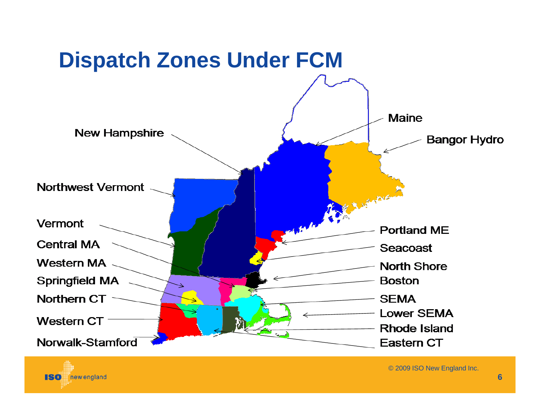



© 2009 ISO New England Inc.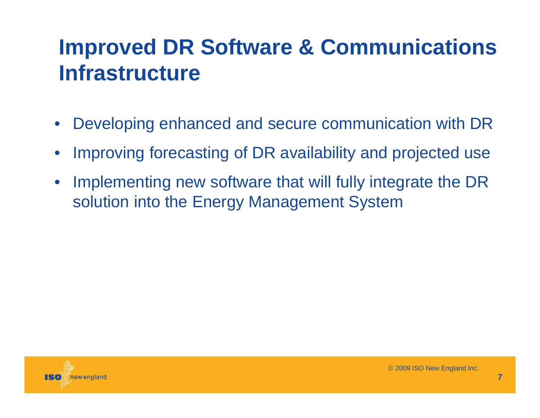### **Improved DR Software & Communications Infrastructure**

- $\bullet$ Developing enhanced and secure communication with DR
- •Improving forecasting of DR availability and projected use
- • Implementing new software that will fully integrate the DR solution into the Energy Management System

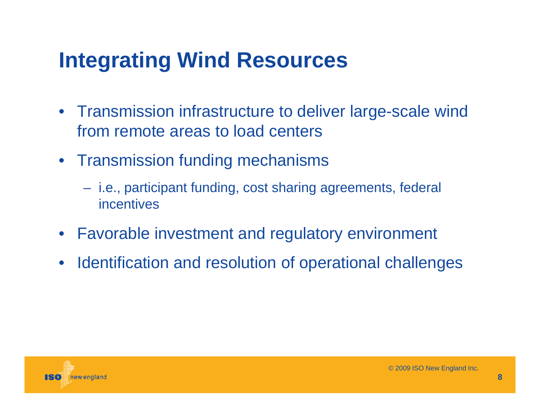## **Integrating Wind Resources**

- Transmission infrastructure to deliver large-scale wind from remote areas to load centers
- Transmission funding mechanisms
	- i.e., participant funding, cost sharing agreements, federal incentives
- Favorable investment and regulatory environment
- Identification and resolution of operational challenges

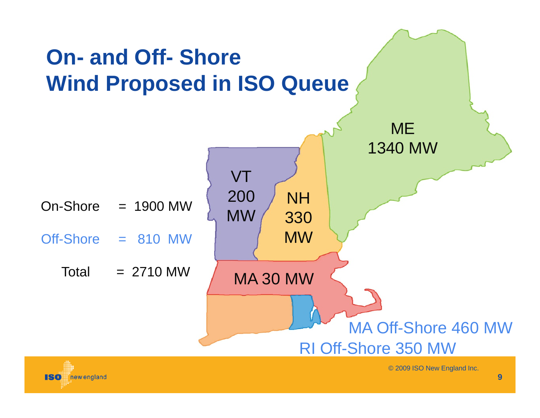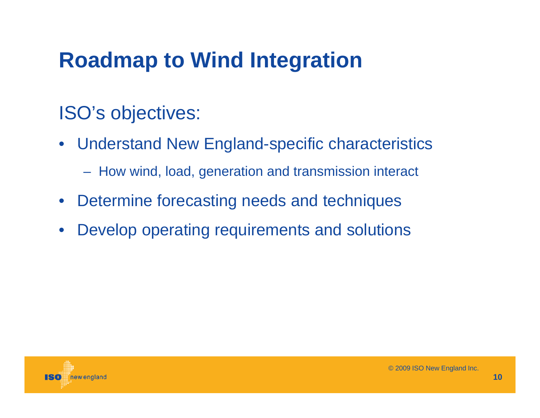## **Roadmap to Wind Integration**

#### ISO's objectives:

- $\bullet$  Understand New England-specific characteristics
	- How wind, load, generation and transmission interact
- $\bullet$ Determine forecasting needs and techniques
- $\bullet$ Develop operating requirements and solutions

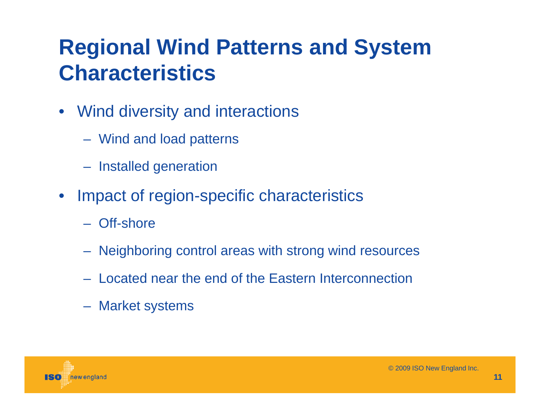### **Regional Wind Patterns and System Characteristics**

- Wind diversity and interactions
	- Wind and load patterns
	- Installed generation
- $\bullet$  Impact of region-specific characteristics
	- Off-shore
	- Neighboring control areas with strong wind resources
	- Located near the end of the Eastern Interconnection
	- Market systems

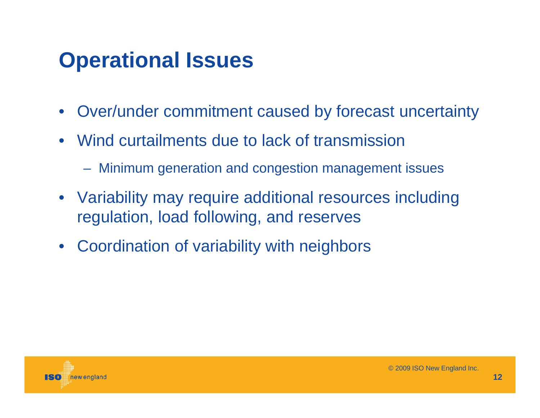## **Operational Issues**

- $\bullet$ Over/under commitment caused by forecast uncertainty
- Wind curtailments due to lack of transmission
	- Minimum generation and congestion management issues
- Variability may require additional resources including regulation, load following, and reserves
- $\bullet$ Coordination of variability with neighbors

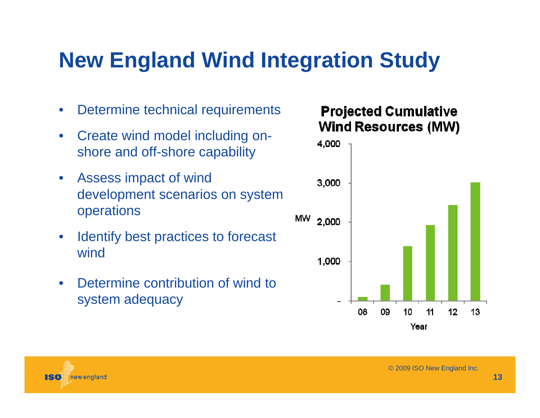## **New England Wind Integration Study**

- $\bullet$ Determine technical requirements
- $\bullet$  Create wind model including onshore and off-shore capability
- $\bullet$  Assess impact of wind development scenarios on system operations
- $\bullet$  Identify best practices to forecast wind
- $\bullet$  Determine contribution of wind to system adequacy

#### **Projected Cumulative Wind Resources (MW)**



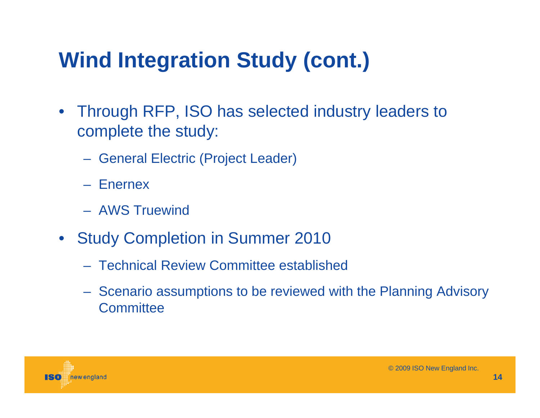# **Wind Integration Study (cont.)**

- Through RFP, ISO has selected industry leaders to complete the study:
	- General Electric (Project Leader)
	- Enernex
	- AWS Truewind
- $\bullet$  Study Completion in Summer 2010
	- Technical Review Committee established
	- Scenario assumptions to be reviewed with the Planning Advisory **Committee**